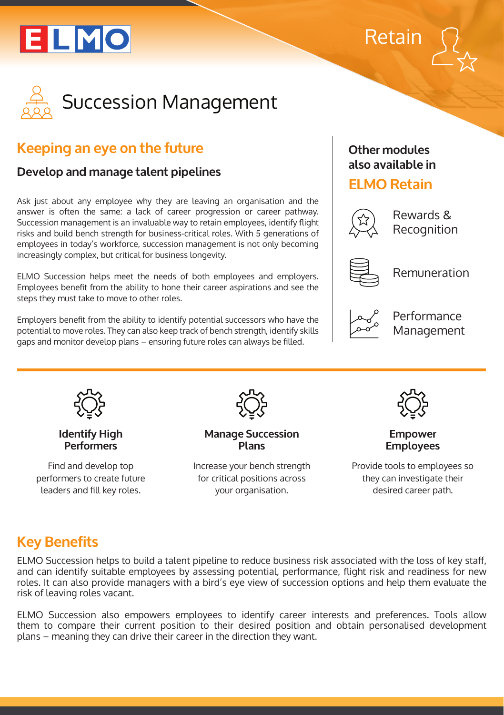





# **Keeping an eye on the future**

### **Develop and manage talent pipelines**

Ask just about any employee why they are leaving an organisation and the answer is often the same: a lack of career progression or career pathway. Succession management is an invaluable way to retain employees, identify flight risks and build bench strength for business-critical roles. With 5 generations of employees in today's workforce, succession management is not only becoming increasingly complex, but critical for business longevity.

ELMO Succession helps meet the needs of both employees and employers. Employees benefit from the ability to hone their career aspirations and see the steps they must take to move to other roles.

Employers benefit from the ability to identify potential successors who have the potential to move roles. They can also keep track of bench strength, identify skills gaps and monitor develop plans – ensuring future roles can always be filled.

### **Other modules also available in**

### **ELMO Retain**



Rewards & Recognition

Remuneration



Performance Management



#### **Identify High Performers**

Find and develop top performers to create future leaders and fill key roles.



**Manage Succession Plans**

Increase your bench strength for critical positions across your organisation.



**Empower Employees**

Provide tools to employees so they can investigate their desired career path.

# **Key Benefits**

ELMO Succession helps to build a talent pipeline to reduce business risk associated with the loss of key staff, and can identify suitable employees by assessing potential, performance, flight risk and readiness for new roles. It can also provide managers with a bird's eye view of succession options and help them evaluate the risk of leaving roles vacant.

ELMO Succession also empowers employees to identify career interests and preferences. Tools allow them to compare their current position to their desired position and obtain personalised development plans – meaning they can drive their career in the direction they want.